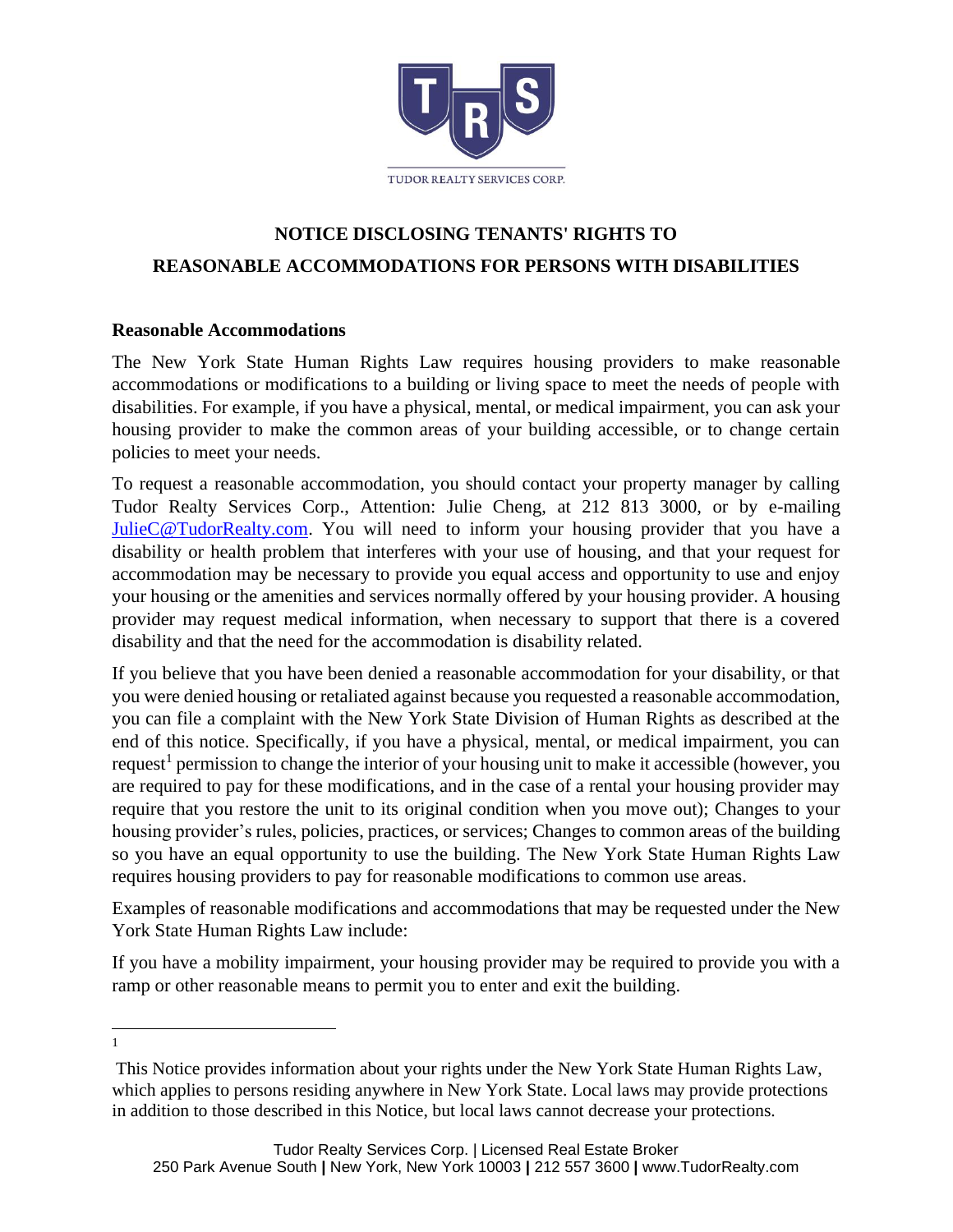

## **NOTICE DISCLOSING TENANTS' RIGHTS TO REASONABLE ACCOMMODATIONS FOR PERSONS WITH DISABILITIES**

## **Reasonable Accommodations**

The New York State Human Rights Law requires housing providers to make reasonable accommodations or modifications to a building or living space to meet the needs of people with disabilities. For example, if you have a physical, mental, or medical impairment, you can ask your housing provider to make the common areas of your building accessible, or to change certain policies to meet your needs.

To request a reasonable accommodation, you should contact your property manager by calling Tudor Realty Services Corp., Attention: Julie Cheng, at 212 813 3000, or by e-mailing [JulieC@TudorRealty.com.](mailto:JulieC@TudorRealty.com) You will need to inform your housing provider that you have a disability or health problem that interferes with your use of housing, and that your request for accommodation may be necessary to provide you equal access and opportunity to use and enjoy your housing or the amenities and services normally offered by your housing provider. A housing provider may request medical information, when necessary to support that there is a covered disability and that the need for the accommodation is disability related.

If you believe that you have been denied a reasonable accommodation for your disability, or that you were denied housing or retaliated against because you requested a reasonable accommodation, you can file a complaint with the New York State Division of Human Rights as described at the end of this notice. Specifically, if you have a physical, mental, or medical impairment, you can request<sup>1</sup> permission to change the interior of your housing unit to make it accessible (however, you are required to pay for these modifications, and in the case of a rental your housing provider may require that you restore the unit to its original condition when you move out); Changes to your housing provider's rules, policies, practices, or services; Changes to common areas of the building so you have an equal opportunity to use the building. The New York State Human Rights Law requires housing providers to pay for reasonable modifications to common use areas.

Examples of reasonable modifications and accommodations that may be requested under the New York State Human Rights Law include:

If you have a mobility impairment, your housing provider may be required to provide you with a ramp or other reasonable means to permit you to enter and exit the building.

1

This Notice provides information about your rights under the New York State Human Rights Law, which applies to persons residing anywhere in New York State. Local laws may provide protections in addition to those described in this Notice, but local laws cannot decrease your protections.